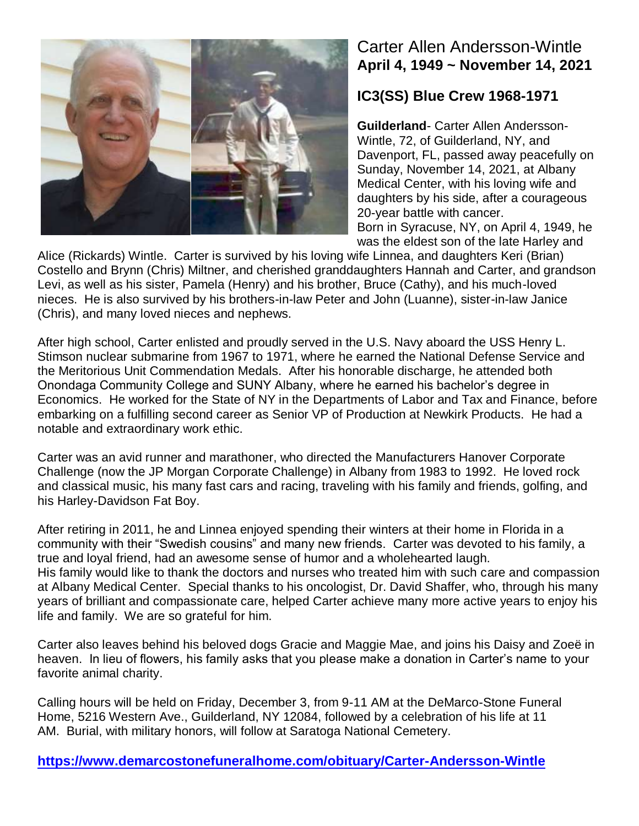

## Carter Allen Andersson-Wintle **April 4, 1949 ~ November 14, 2021**

## **IC3(SS) Blue Crew 1968-1971**

**Guilderland**- Carter Allen Andersson-Wintle, 72, of Guilderland, NY, and Davenport, FL, passed away peacefully on Sunday, November 14, 2021, at Albany Medical Center, with his loving wife and daughters by his side, after a courageous 20-year battle with cancer. Born in Syracuse, NY, on April 4, 1949, he was the eldest son of the late Harley and

Alice (Rickards) Wintle. Carter is survived by his loving wife Linnea, and daughters Keri (Brian) Costello and Brynn (Chris) Miltner, and cherished granddaughters Hannah and Carter, and grandson Levi, as well as his sister, Pamela (Henry) and his brother, Bruce (Cathy), and his much-loved nieces. He is also survived by his brothers-in-law Peter and John (Luanne), sister-in-law Janice (Chris), and many loved nieces and nephews.

After high school, Carter enlisted and proudly served in the U.S. Navy aboard the USS Henry L. Stimson nuclear submarine from 1967 to 1971, where he earned the National Defense Service and the Meritorious Unit Commendation Medals. After his honorable discharge, he attended both Onondaga Community College and SUNY Albany, where he earned his bachelor's degree in Economics. He worked for the State of NY in the Departments of Labor and Tax and Finance, before embarking on a fulfilling second career as Senior VP of Production at Newkirk Products. He had a notable and extraordinary work ethic.

Carter was an avid runner and marathoner, who directed the Manufacturers Hanover Corporate Challenge (now the JP Morgan Corporate Challenge) in Albany from 1983 to 1992. He loved rock and classical music, his many fast cars and racing, traveling with his family and friends, golfing, and his Harley-Davidson Fat Boy.

After retiring in 2011, he and Linnea enjoyed spending their winters at their home in Florida in a community with their "Swedish cousins" and many new friends. Carter was devoted to his family, a true and loyal friend, had an awesome sense of humor and a wholehearted laugh. His family would like to thank the doctors and nurses who treated him with such care and compassion at Albany Medical Center. Special thanks to his oncologist, Dr. David Shaffer, who, through his many years of brilliant and compassionate care, helped Carter achieve many more active years to enjoy his life and family. We are so grateful for him.

Carter also leaves behind his beloved dogs Gracie and Maggie Mae, and joins his Daisy and Zoeë in heaven. In lieu of flowers, his family asks that you please make a donation in Carter's name to your favorite animal charity.

Calling hours will be held on Friday, December 3, from 9-11 AM at the DeMarco-Stone Funeral Home, 5216 Western Ave., Guilderland, NY 12084, followed by a celebration of his life at 11 AM. Burial, with military honors, will follow at Saratoga National Cemetery.

**<https://www.demarcostonefuneralhome.com/obituary/Carter-Andersson-Wintle>**